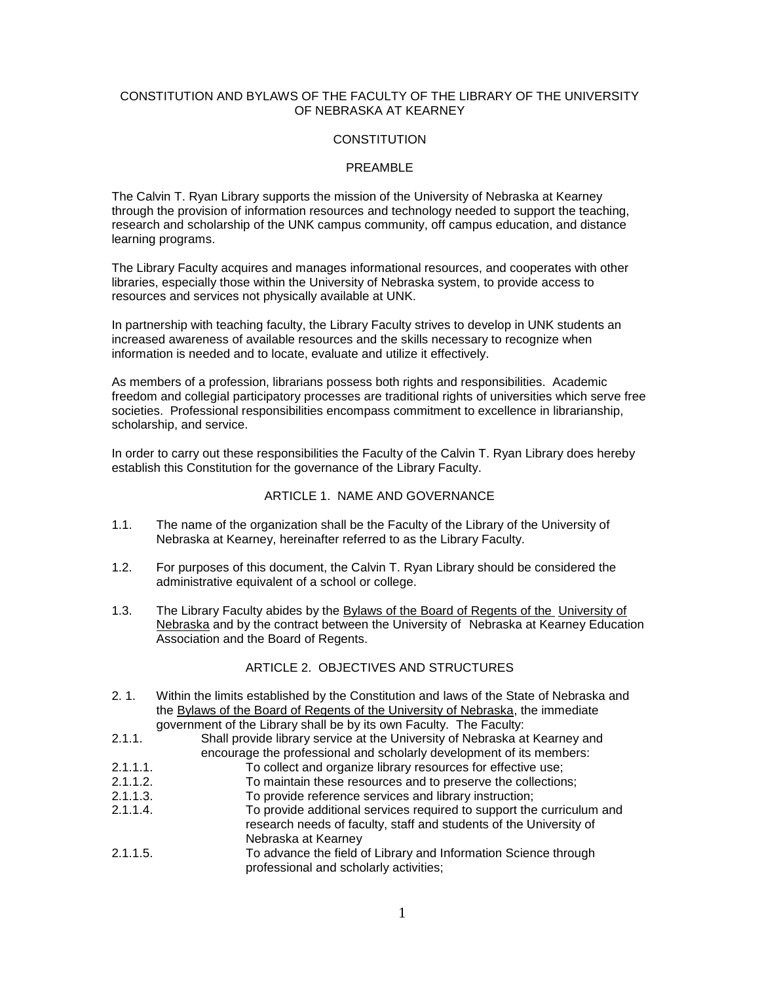## CONSTITUTION AND BYLAWS OF THE FACULTY OF THE LIBRARY OF THE UNIVERSITY OF NEBRASKA AT KEARNEY

### **CONSTITUTION**

### PREAMBLE

The Calvin T. Ryan Library supports the mission of the University of Nebraska at Kearney through the provision of information resources and technology needed to support the teaching, research and scholarship of the UNK campus community, off campus education, and distance learning programs.

The Library Faculty acquires and manages informational resources, and cooperates with other libraries, especially those within the University of Nebraska system, to provide access to resources and services not physically available at UNK.

In partnership with teaching faculty, the Library Faculty strives to develop in UNK students an increased awareness of available resources and the skills necessary to recognize when information is needed and to locate, evaluate and utilize it effectively.

As members of a profession, librarians possess both rights and responsibilities. Academic freedom and collegial participatory processes are traditional rights of universities which serve free societies. Professional responsibilities encompass commitment to excellence in librarianship, scholarship, and service.

In order to carry out these responsibilities the Faculty of the Calvin T. Ryan Library does hereby establish this Constitution for the governance of the Library Faculty.

#### ARTICLE 1. NAME AND GOVERNANCE

- 1.1. The name of the organization shall be the Faculty of the Library of the University of Nebraska at Kearney, hereinafter referred to as the Library Faculty.
- 1.2. For purposes of this document, the Calvin T. Ryan Library should be considered the administrative equivalent of a school or college.
- 1.3. The Library Faculty abides by the Bylaws of the Board of Regents of the University of Nebraska and by the contract between the University of Nebraska at Kearney Education Association and the Board of Regents.

### ARTICLE 2. OBJECTIVES AND STRUCTURES

- 2. 1. Within the limits established by the Constitution and laws of the State of Nebraska and the Bylaws of the Board of Regents of the University of Nebraska, the immediate government of the Library shall be by its own Faculty. The Faculty:
- 2.1.1. Shall provide library service at the University of Nebraska at Kearney and encourage the professional and scholarly development of its members:
- 2.1.1.1. To collect and organize library resources for effective use;
- 2.1.1.2. To maintain these resources and to preserve the collections;
- 2.1.1.3. To provide reference services and library instruction;
- 2.1.1.4. To provide additional services required to support the curriculum and research needs of faculty, staff and students of the University of Nebraska at Kearney
- 2.1.1.5. To advance the field of Library and Information Science through professional and scholarly activities;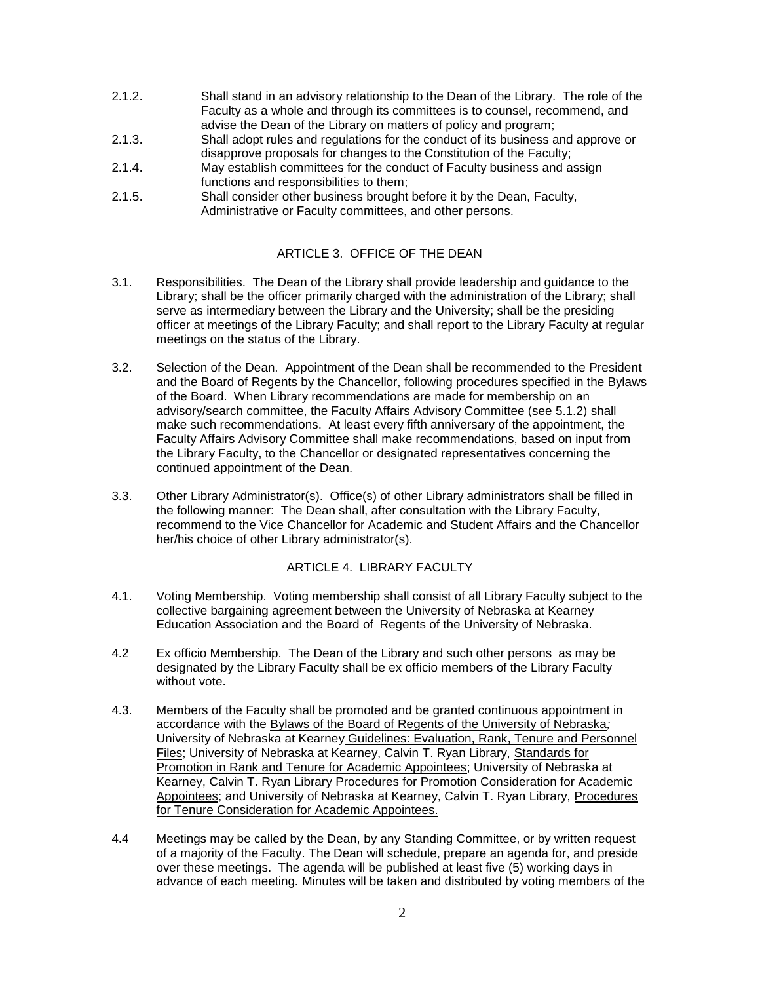- 2.1.2. Shall stand in an advisory relationship to the Dean of the Library. The role of the Faculty as a whole and through its committees is to counsel, recommend, and advise the Dean of the Library on matters of policy and program;
- 2.1.3. Shall adopt rules and regulations for the conduct of its business and approve or disapprove proposals for changes to the Constitution of the Faculty;
- 2.1.4. May establish committees for the conduct of Faculty business and assign functions and responsibilities to them;
- 2.1.5. Shall consider other business brought before it by the Dean, Faculty, Administrative or Faculty committees, and other persons.

# ARTICLE 3. OFFICE OF THE DEAN

- 3.1. Responsibilities. The Dean of the Library shall provide leadership and guidance to the Library; shall be the officer primarily charged with the administration of the Library; shall serve as intermediary between the Library and the University; shall be the presiding officer at meetings of the Library Faculty; and shall report to the Library Faculty at regular meetings on the status of the Library.
- 3.2. Selection of the Dean. Appointment of the Dean shall be recommended to the President and the Board of Regents by the Chancellor, following procedures specified in the Bylaws of the Board. When Library recommendations are made for membership on an advisory/search committee, the Faculty Affairs Advisory Committee (see 5.1.2) shall make such recommendations. At least every fifth anniversary of the appointment, the Faculty Affairs Advisory Committee shall make recommendations, based on input from the Library Faculty, to the Chancellor or designated representatives concerning the continued appointment of the Dean.
- 3.3. Other Library Administrator(s). Office(s) of other Library administrators shall be filled in the following manner: The Dean shall, after consultation with the Library Faculty, recommend to the Vice Chancellor for Academic and Student Affairs and the Chancellor her/his choice of other Library administrator(s).

## ARTICLE 4. LIBRARY FACULTY

- 4.1. Voting Membership. Voting membership shall consist of all Library Faculty subject to the collective bargaining agreement between the University of Nebraska at Kearney Education Association and the Board of Regents of the University of Nebraska.
- 4.2 Ex officio Membership. The Dean of the Library and such other persons as may be designated by the Library Faculty shall be ex officio members of the Library Faculty without vote.
- 4.3. Members of the Faculty shall be promoted and be granted continuous appointment in accordance with the Bylaws of the Board of Regents of the University of Nebraska*;*  University of Nebraska at Kearney Guidelines: Evaluation, Rank, Tenure and Personnel Files; University of Nebraska at Kearney, Calvin T. Ryan Library, Standards for Promotion in Rank and Tenure for Academic Appointees; University of Nebraska at Kearney, Calvin T. Ryan Library Procedures for Promotion Consideration for Academic Appointees; and University of Nebraska at Kearney, Calvin T. Ryan Library, Procedures for Tenure Consideration for Academic Appointees.
- 4.4 Meetings may be called by the Dean, by any Standing Committee, or by written request of a majority of the Faculty. The Dean will schedule, prepare an agenda for, and preside over these meetings. The agenda will be published at least five (5) working days in advance of each meeting. Minutes will be taken and distributed by voting members of the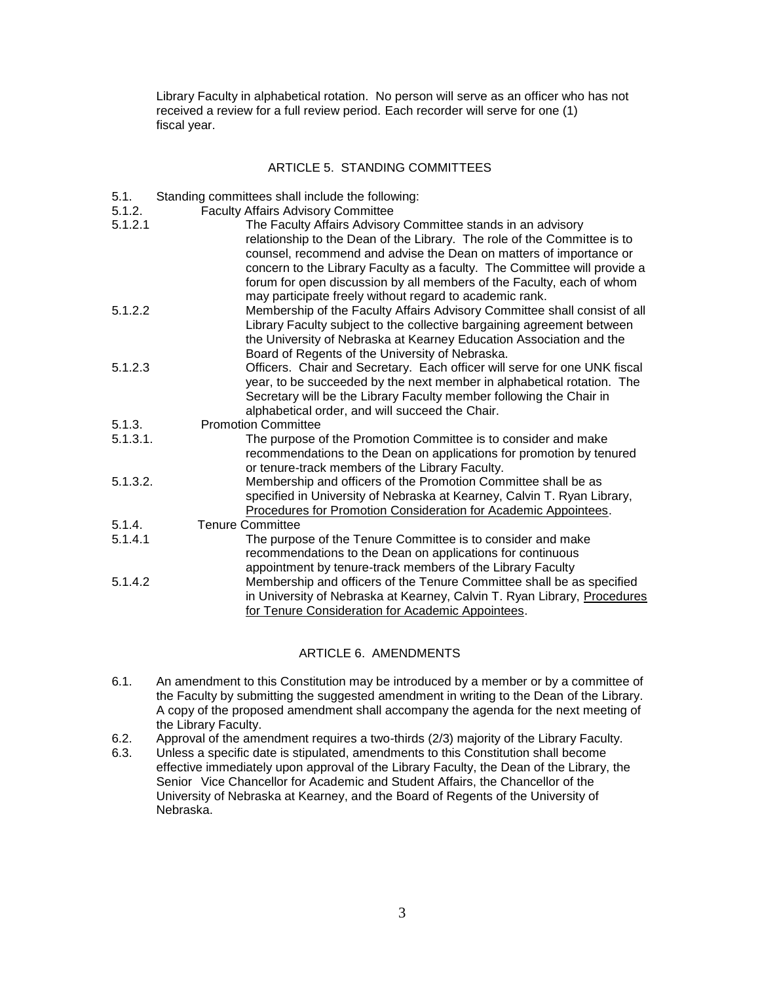Library Faculty in alphabetical rotation. No person will serve as an officer who has not received a review for a full review period. Each recorder will serve for one (1) fiscal year.

## ARTICLE 5. STANDING COMMITTEES

- 5.1. Standing committees shall include the following:
- 5.1.2. Faculty Affairs Advisory Committee

| 5.1.2.1  | The Faculty Affairs Advisory Committee stands in an advisory              |
|----------|---------------------------------------------------------------------------|
|          | relationship to the Dean of the Library. The role of the Committee is to  |
|          | counsel, recommend and advise the Dean on matters of importance or        |
|          | concern to the Library Faculty as a faculty. The Committee will provide a |
|          | forum for open discussion by all members of the Faculty, each of whom     |
|          | may participate freely without regard to academic rank.                   |
| 5.1.2.2  | Membership of the Faculty Affairs Advisory Committee shall consist of all |
|          | Library Faculty subject to the collective bargaining agreement between    |
|          | the University of Nebraska at Kearney Education Association and the       |
|          | Board of Regents of the University of Nebraska.                           |
| 5.1.2.3  | Officers. Chair and Secretary. Each officer will serve for one UNK fiscal |
|          | year, to be succeeded by the next member in alphabetical rotation. The    |
|          | Secretary will be the Library Faculty member following the Chair in       |
|          | alphabetical order, and will succeed the Chair.                           |
| 5.1.3.   | <b>Promotion Committee</b>                                                |
| 5.1.3.1. | The purpose of the Promotion Committee is to consider and make            |
|          | recommendations to the Dean on applications for promotion by tenured      |
|          | or tenure-track members of the Library Faculty.                           |
| 5.1.3.2. | Membership and officers of the Promotion Committee shall be as            |
|          | specified in University of Nebraska at Kearney, Calvin T. Ryan Library,   |
|          | Procedures for Promotion Consideration for Academic Appointees.           |
| 5.1.4.   | <b>Tenure Committee</b>                                                   |
| 5.1.4.1  | The purpose of the Tenure Committee is to consider and make               |
|          | recommendations to the Dean on applications for continuous                |
|          | appointment by tenure-track members of the Library Faculty                |
| 5.1.4.2  | Membership and officers of the Tenure Committee shall be as specified     |
|          | in University of Nebraska at Kearney, Calvin T. Ryan Library, Procedures  |
|          | for Tenure Consideration for Academic Appointees.                         |

### ARTICLE 6. AMENDMENTS

- 6.1. An amendment to this Constitution may be introduced by a member or by a committee of the Faculty by submitting the suggested amendment in writing to the Dean of the Library. A copy of the proposed amendment shall accompany the agenda for the next meeting of the Library Faculty.
- 6.2. Approval of the amendment requires a two-thirds (2/3) majority of the Library Faculty.
- 6.3. Unless a specific date is stipulated, amendments to this Constitution shall become effective immediately upon approval of the Library Faculty, the Dean of the Library, the Senior Vice Chancellor for Academic and Student Affairs, the Chancellor of the University of Nebraska at Kearney, and the Board of Regents of the University of Nebraska.